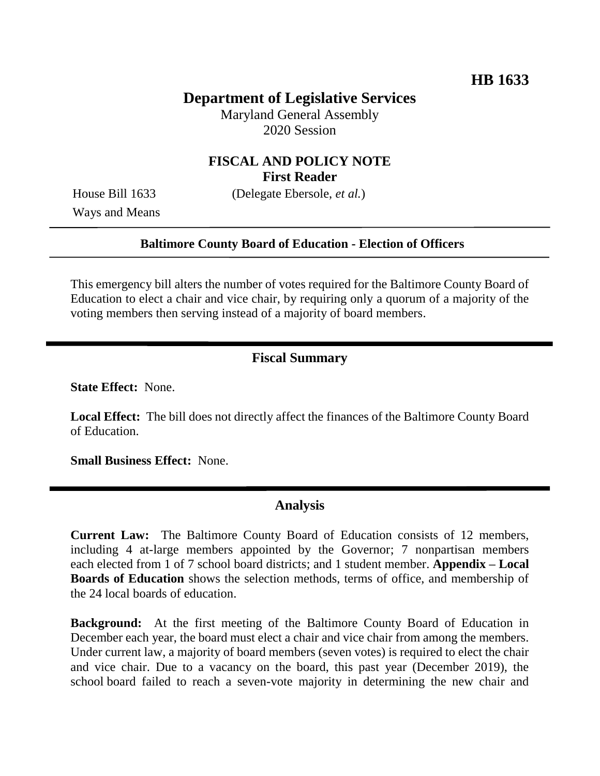# **Department of Legislative Services**

Maryland General Assembly 2020 Session

# **FISCAL AND POLICY NOTE First Reader**

Ways and Means

House Bill 1633 (Delegate Ebersole, *et al.*)

#### **Baltimore County Board of Education - Election of Officers**

This emergency bill alters the number of votes required for the Baltimore County Board of Education to elect a chair and vice chair, by requiring only a quorum of a majority of the voting members then serving instead of a majority of board members.

### **Fiscal Summary**

**State Effect:** None.

**Local Effect:** The bill does not directly affect the finances of the Baltimore County Board of Education.

**Small Business Effect:** None.

#### **Analysis**

**Current Law:** The Baltimore County Board of Education consists of 12 members, including 4 at-large members appointed by the Governor; 7 nonpartisan members each elected from 1 of 7 school board districts; and 1 student member. **Appendix – Local Boards of Education** shows the selection methods, terms of office, and membership of the 24 local boards of education.

**Background:** At the first meeting of the Baltimore County Board of Education in December each year, the board must elect a chair and vice chair from among the members. Under current law, a majority of board members (seven votes) is required to elect the chair and vice chair. Due to a vacancy on the board, this past year (December 2019), the school board failed to reach a seven-vote majority in determining the new chair and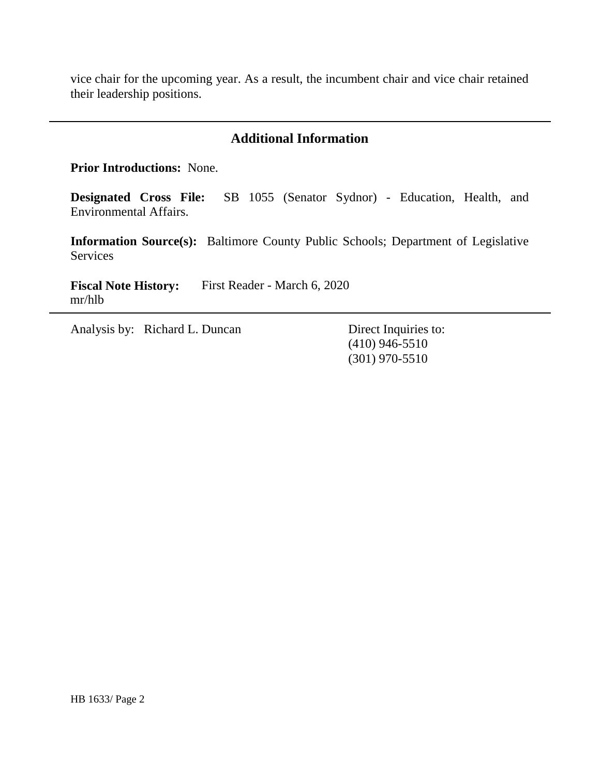vice chair for the upcoming year. As a result, the incumbent chair and vice chair retained their leadership positions.

# **Additional Information**

**Prior Introductions:** None.

**Designated Cross File:** SB 1055 (Senator Sydnor) - Education, Health, and Environmental Affairs.

**Information Source(s):** Baltimore County Public Schools; Department of Legislative Services

**Fiscal Note History:** First Reader - March 6, 2020 mr/hlb

Analysis by: Richard L. Duncan Direct Inquiries to:

(410) 946-5510 (301) 970-5510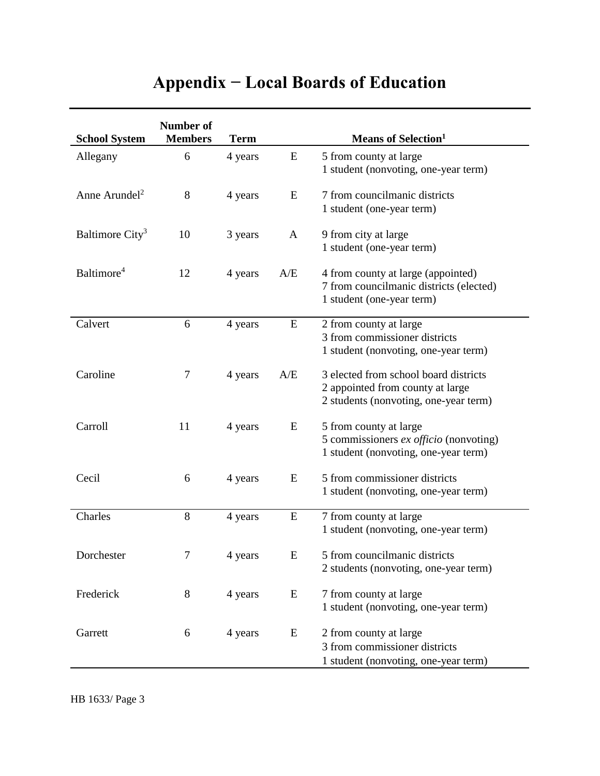# **Appendix − Local Boards of Education**

| <b>School System</b>        | Number of<br><b>Members</b> | <b>Term</b> |              | <b>Means of Selection</b> <sup>1</sup>                                                                             |
|-----------------------------|-----------------------------|-------------|--------------|--------------------------------------------------------------------------------------------------------------------|
| Allegany                    | 6                           | 4 years     | ${\bf E}$    | 5 from county at large<br>1 student (nonvoting, one-year term)                                                     |
| Anne Arundel <sup>2</sup>   | $8\,$                       | 4 years     | E            | 7 from councilmanic districts<br>1 student (one-year term)                                                         |
| Baltimore City <sup>3</sup> | 10                          | 3 years     | $\mathbf{A}$ | 9 from city at large<br>1 student (one-year term)                                                                  |
| Baltimore <sup>4</sup>      | 12                          | 4 years     | A/E          | 4 from county at large (appointed)<br>7 from councilmanic districts (elected)<br>1 student (one-year term)         |
| Calvert                     | 6                           | 4 years     | E            | 2 from county at large<br>3 from commissioner districts<br>1 student (nonvoting, one-year term)                    |
| Caroline                    | $\tau$                      | 4 years     | A/E          | 3 elected from school board districts<br>2 appointed from county at large<br>2 students (nonvoting, one-year term) |
| Carroll                     | 11                          | 4 years     | E            | 5 from county at large<br>5 commissioners ex officio (nonvoting)<br>1 student (nonvoting, one-year term)           |
| Cecil                       | 6                           | 4 years     | E            | 5 from commissioner districts<br>1 student (nonvoting, one-year term)                                              |
| Charles                     | 8                           | 4 years     | ${\bf E}$    | 7 from county at large<br>1 student (nonvoting, one-year term)                                                     |
| Dorchester                  | $\tau$                      | 4 years     | E            | 5 from councilmanic districts<br>2 students (nonvoting, one-year term)                                             |
| Frederick                   | $8\,$                       | 4 years     | E            | 7 from county at large<br>1 student (nonvoting, one-year term)                                                     |
| Garrett                     | 6                           | 4 years     | E            | 2 from county at large<br>3 from commissioner districts<br>1 student (nonvoting, one-year term)                    |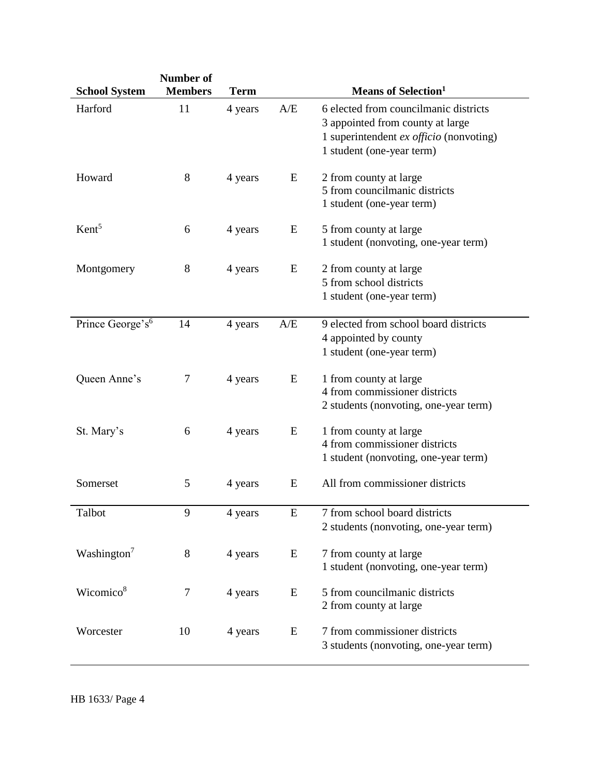| <b>School System</b>         | Number of<br><b>Members</b> | <b>Term</b> |           | <b>Means of Selection</b> <sup>1</sup>                                                                                                              |
|------------------------------|-----------------------------|-------------|-----------|-----------------------------------------------------------------------------------------------------------------------------------------------------|
| Harford                      | 11                          | 4 years     | A/E       | 6 elected from councilmanic districts<br>3 appointed from county at large<br>1 superintendent $ex$ officio (nonvoting)<br>1 student (one-year term) |
| Howard                       | $8\,$                       | 4 years     | E         | 2 from county at large<br>5 from councilmanic districts<br>1 student (one-year term)                                                                |
| Kent <sup>5</sup>            | 6                           | 4 years     | E         | 5 from county at large<br>1 student (nonvoting, one-year term)                                                                                      |
| Montgomery                   | 8                           | 4 years     | E         | 2 from county at large<br>5 from school districts<br>1 student (one-year term)                                                                      |
| Prince George's <sup>6</sup> | 14                          | 4 years     | A/E       | 9 elected from school board districts<br>4 appointed by county<br>1 student (one-year term)                                                         |
| Queen Anne's                 | 7                           | 4 years     | E         | 1 from county at large<br>4 from commissioner districts<br>2 students (nonvoting, one-year term)                                                    |
| St. Mary's                   | 6                           | 4 years     | E         | 1 from county at large<br>4 from commissioner districts<br>1 student (nonvoting, one-year term)                                                     |
| Somerset                     | 5                           | 4 years     | E         | All from commissioner districts                                                                                                                     |
| Talbot                       | 9                           | 4 years     | ${\bf E}$ | 7 from school board districts<br>2 students (nonvoting, one-year term)                                                                              |
| Washington <sup>7</sup>      | 8                           | 4 years     | E         | 7 from county at large<br>1 student (nonvoting, one-year term)                                                                                      |
| Wicomico <sup>8</sup>        | 7                           | 4 years     | E         | 5 from councilmanic districts<br>2 from county at large                                                                                             |
| Worcester                    | 10                          | 4 years     | E         | 7 from commissioner districts<br>3 students (nonvoting, one-year term)                                                                              |